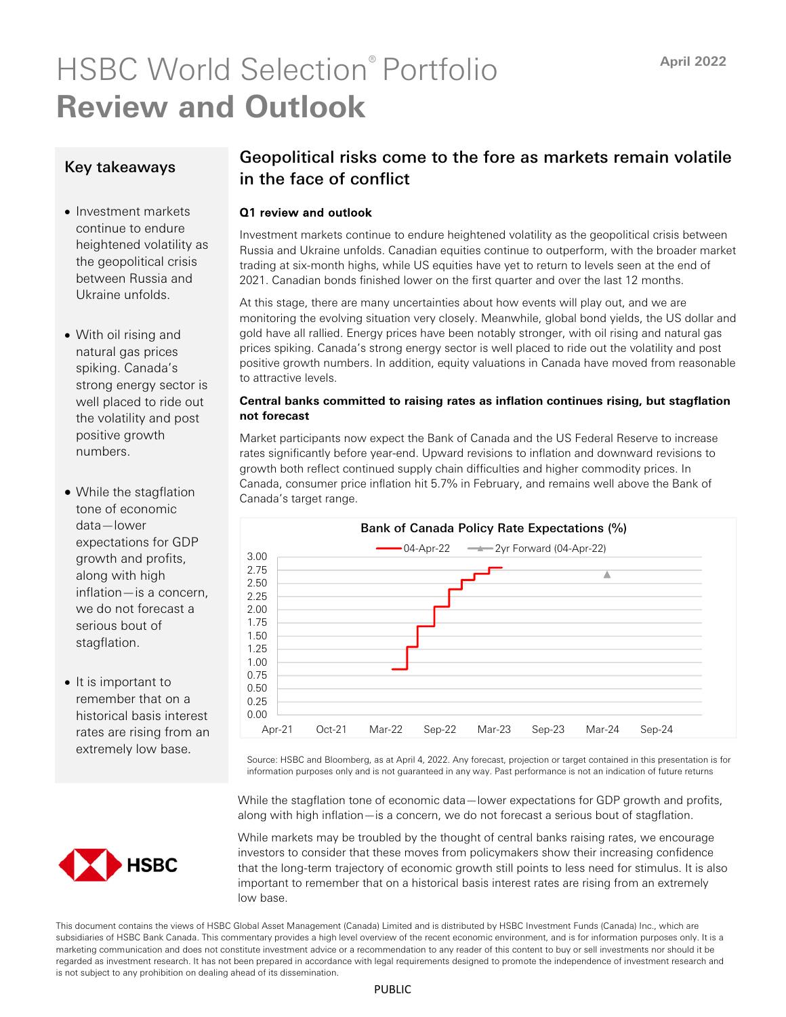# HSBC World Selection® Portfolio **Review and Outlook**

## Key takeaways

- Investment markets continue to endure heightened volatility as the geopolitical crisis between Russia and Ukraine unfolds.
- With oil rising and natural gas prices spiking. Canada's strong energy sector is well placed to ride out the volatility and post positive growth numbers.
- While the stagflation tone of economic data—lower expectations for GDP growth and profits, along with high inflation—is a concern, we do not forecast a serious bout of stagflation.
- It is important to remember that on a historical basis interest rates are rising from an extremely low base.

# Geopolitical risks come to the fore as markets remain volatile in the face of conflict

### Q1 review and outlook

Investment markets continue to endure heightened volatility as the geopolitical crisis between Russia and Ukraine unfolds. Canadian equities continue to outperform, with the broader market trading at six-month highs, while US equities have yet to return to levels seen at the end of 2021. Canadian bonds finished lower on the first quarter and over the last 12 months.

At this stage, there are many uncertainties about how events will play out, and we are monitoring the evolving situation very closely. Meanwhile, global bond yields, the US dollar and gold have all rallied. Energy prices have been notably stronger, with oil rising and natural gas prices spiking. Canada's strong energy sector is well placed to ride out the volatility and post positive growth numbers. In addition, equity valuations in Canada have moved from reasonable to attractive levels.

#### **Central banks committed to raising rates as inflation continues rising, but stagflation not forecast**

Market participants now expect the Bank of Canada and the US Federal Reserve to increase rates significantly before year-end. Upward revisions to inflation and downward revisions to growth both reflect continued supply chain difficulties and higher commodity prices. In Canada, consumer price inflation hit 5.7% in February, and remains well above the Bank of Canada's target range.



Source: HSBC and Bloomberg, as at April 4, 2022. Any forecast, projection or target contained in this presentation is for information purposes only and is not guaranteed in any way. Past performance is not an indication of future returns

While the stagflation tone of economic data—lower expectations for GDP growth and profits, along with high inflation—is a concern, we do not forecast a serious bout of stagflation.

While markets may be troubled by the thought of central banks raising rates, we encourage investors to consider that these moves from policymakers show their increasing confidence that the long-term trajectory of economic growth still points to less need for stimulus. It is also important to remember that on a historical basis interest rates are rising from an extremely low base.

This document contains the views of HSBC Global Asset Management (Canada) Limited and is distributed by HSBC Investment Funds (Canada) Inc., which are subsidiaries of HSBC Bank Canada. This commentary provides a high level overview of the recent economic environment, and is for information purposes only. It is a marketing communication and does not constitute investment advice or a recommendation to any reader of this content to buy or sell investments nor should it be regarded as investment research. It has not been prepared in accordance with legal requirements designed to promote the independence of investment research and is not subject to any prohibition on dealing ahead of its dissemination.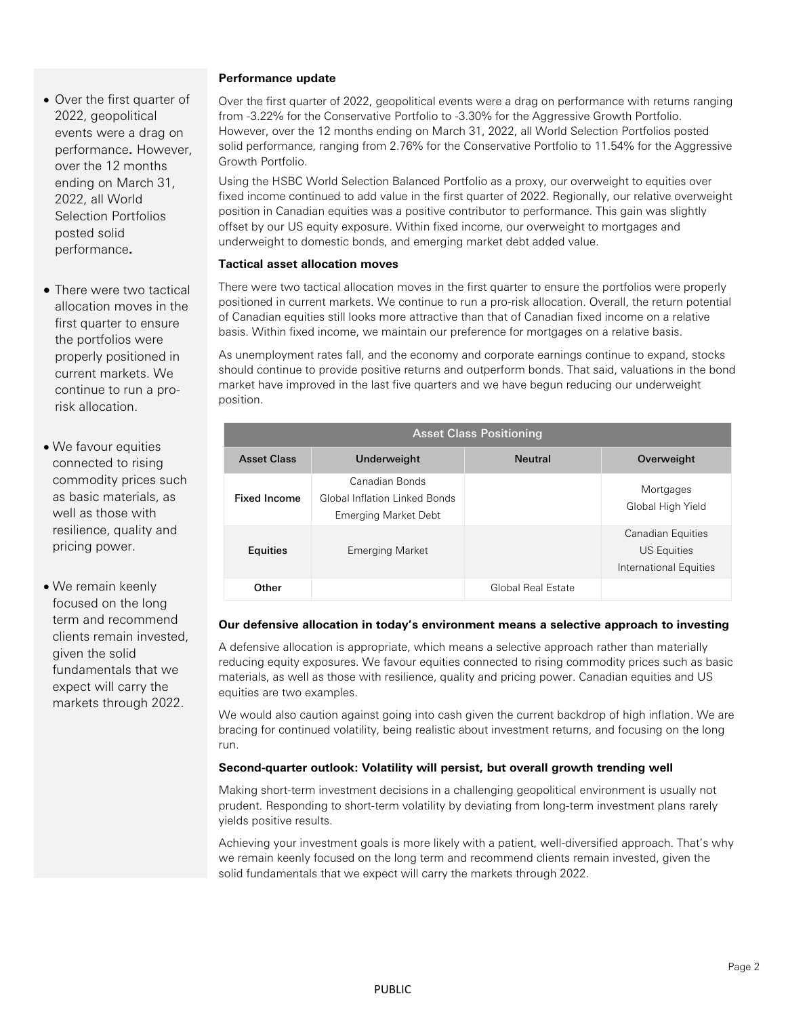- Over the first quarter of 2022, geopolitical events were a drag on performance**.** However, over the 12 months ending on March 31, 2022, all World Selection Portfolios posted solid performance**.**
- There were two tactical allocation moves in the first quarter to ensure the portfolios were properly positioned in current markets. We continue to run a prorisk allocation.
- We favour equities connected to rising commodity prices such as basic materials, as well as those with resilience, quality and pricing power.
- We remain keenly focused on the long term and recommend clients remain invested, given the solid fundamentals that we expect will carry the markets through 2022.

#### **Performance update**

Over the first quarter of 2022, geopolitical events were a drag on performance with returns ranging from -3.22% for the Conservative Portfolio to -3.30% for the Aggressive Growth Portfolio. However, over the 12 months ending on March 31, 2022, all World Selection Portfolios posted solid performance, ranging from 2.76% for the Conservative Portfolio to 11.54% for the Aggressive Growth Portfolio.

Using the HSBC World Selection Balanced Portfolio as a proxy, our overweight to equities over fixed income continued to add value in the first quarter of 2022. Regionally, our relative overweight position in Canadian equities was a positive contributor to performance. This gain was slightly offset by our US equity exposure. Within fixed income, our overweight to mortgages and underweight to domestic bonds, and emerging market debt added value.

#### **Tactical asset allocation moves**

There were two tactical allocation moves in the first quarter to ensure the portfolios were properly positioned in current markets. We continue to run a pro-risk allocation. Overall, the return potential of Canadian equities still looks more attractive than that of Canadian fixed income on a relative basis. Within fixed income, we maintain our preference for mortgages on a relative basis.

As unemployment rates fall, and the economy and corporate earnings continue to expand, stocks should continue to provide positive returns and outperform bonds. That said, valuations in the bond market have improved in the last five quarters and we have begun reducing our underweight position.

| <b>Asset Class Positioning</b> |                                                                                |                    |                                                                          |
|--------------------------------|--------------------------------------------------------------------------------|--------------------|--------------------------------------------------------------------------|
| <b>Asset Class</b>             | Underweight                                                                    | <b>Neutral</b>     | Overweight                                                               |
| <b>Fixed Income</b>            | Canadian Bonds<br>Global Inflation Linked Bonds<br><b>Emerging Market Debt</b> |                    | Mortgages<br>Global High Yield                                           |
| <b>Equities</b>                | <b>Emerging Market</b>                                                         |                    | <b>Canadian Equities</b><br><b>US Equities</b><br>International Equities |
| Other                          |                                                                                | Global Real Estate |                                                                          |

#### **Our defensive allocation in today's environment means a selective approach to investing**

A defensive allocation is appropriate, which means a selective approach rather than materially reducing equity exposures. We favour equities connected to rising commodity prices such as basic materials, as well as those with resilience, quality and pricing power. Canadian equities and US equities are two examples.

We would also caution against going into cash given the current backdrop of high inflation. We are bracing for continued volatility, being realistic about investment returns, and focusing on the long run.

#### **Second-quarter outlook: Volatility will persist, but overall growth trending well**

Making short-term investment decisions in a challenging geopolitical environment is usually not prudent. Responding to short-term volatility by deviating from long-term investment plans rarely yields positive results.

Achieving your investment goals is more likely with a patient, well-diversified approach. That's why we remain keenly focused on the long term and recommend clients remain invested, given the solid fundamentals that we expect will carry the markets through 2022.